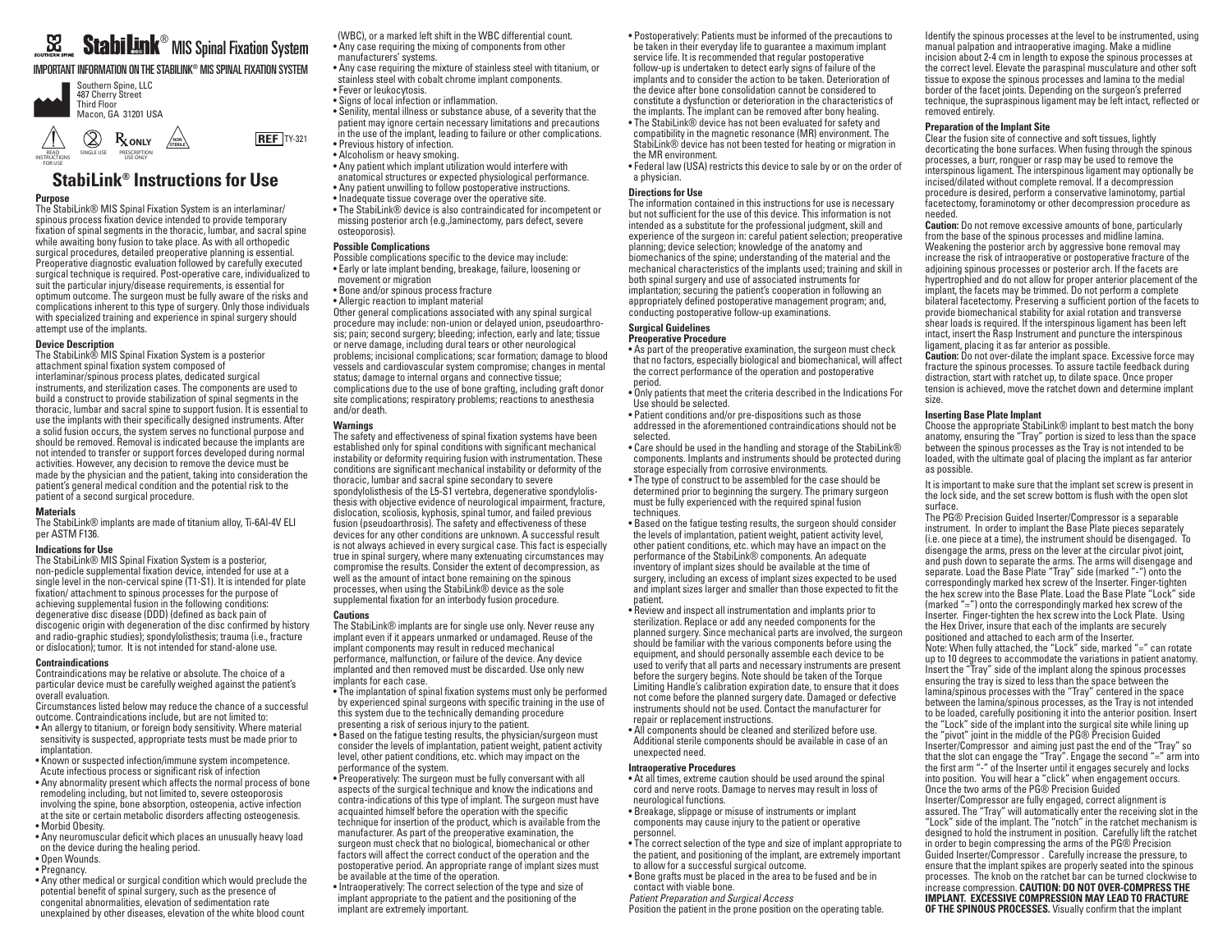# $^\circledR$  MIS Spinal Fixation System

IMPORTANT INFORMATION ON THE STABILINK® MIS SPINAL FIXATION SYSTEM





The StabiLink® MIS Spinal Fixation System is an interlaminar/ spinous process fixation device intended to provide temporary fixation of spinal segments in the thoracic, lumbar, and sacral spine while awaiting bony fusion to take place. As with all orthopedic surgical procedures, detailed preoperative planning is essential. Preoperative diagnostic evaluation followed by carefully executed surgical technique is required. Post-operative care, individualized to suit the particular injury/disease requirements, is essential for optimum outcome. The surgeon must be fully aware of the risks and complications inherent to this type of surgery. Only those individuals with specialized training and experience in spinal surgery should attempt use of the implants.

## **Device Description**

The StabiLink® MIS Spinal Fixation System is a posterior attachment spinal fixation system composed of interlaminar/spinous process plates, dedicated surgical instruments, and sterilization cases. The components are used to build a construct to provide stabilization of spinal segments in the thoracic, lumbar and sacral spine to support fusion. It is essential to use the implants with their specifically designed instruments. After a solid fusion occurs, the system serves no functional purpose and should be removed. Removal is indicated because the implants are not intended to transfer or support forces developed during normal activities. However, any decision to remove the device must be made by the physician and the patient, taking into consideration the patient's general medical condition and the potential risk to the patient of a second surgical procedure.

#### **Materials**

The StabiLink® implants are made of titanium alloy, Ti-6Al-4V ELI per ASTM F136.

# **Indications for Use**

The StabiLink® MIS Spinal Fixation System is a posterior, non-pedicle supplemental fixation device, intended for use at a single level in the non-cervical spine (T1-S1). It is intended for plate fixation/ attachment to spinous processes for the purpose of achieving supplemental fusion in the following conditions: degenerative disc disease (DDD) (defined as back pain of discogenic origin with degeneration of the disc confirmed by history and radio-graphic studies); spondylolisthesis; trauma (i.e., fracture or dislocation); tumor. It is not intended for stand-alone use.

#### **Contraindications**

Contraindications may be relative or absolute. The choice of a particular device must be carefully weighed against the patient's overall evaluation.

Circumstances listed below may reduce the chance of a successful outcome. Contraindications include, but are not limited to:

- An allergy to titanium, or foreign body sensitivity. Where material sensitivity is suspected, appropriate tests must be made prior to implantation.
- Known or suspected infection/immune system incompetence. Acute infectious process or significant risk of infection
- Any abnormality present which affects the normal process of bone remodeling including, but not limited to, severe osteoporosis involving the spine, bone absorption, osteopenia, active infection at the site or certain metabolic disorders affecting osteogenesis. • Morbid Obesity.
- Any neuromuscular deficit which places an unusually heavy load on the device during the healing period.
- Open Wounds.
- Pregnancy.

• Any other medical or surgical condition which would preclude the potential benefit of spinal surgery, such as the presence of congenital abnormalities, elevation of sedimentation rate unexplained by other diseases, elevation of the white blood count

(WBC), or a marked left shift in the WBC differential count.

• Any case requiring the mixing of components from other manufacturers' systems.

• Any case requiring the mixture of stainless steel with titanium, or stainless steel with cobalt chrome implant components. • Fever or leukocytosis.

- Signs of local infection or inflammation.
- Senility, mental illness or substance abuse, of a severity that the patient may ignore certain necessary limitations and precautions in the use of the implant, leading to failure or other complications.
- Previous history of infection. • Alcoholism or heavy smoking.
- Any patient which implant utilization would interfere with
- anatomical structures or expected physiological performance.
- Any patient unwilling to follow postoperative instructions.
- Inadequate tissue coverage over the operative site.
- The StabiLink® device is also contraindicated for incompetent or missing posterior arch (e.g.,laminectomy, pars defect, severe osteoporosis).

## **Possible Complications**

- Possible complications specific to the device may include: • Early or late implant bending, breakage, failure, loosening or movement or migration
- Bone and/or spinous process fracture
- Allergic reaction to implant material
- Other general complications associated with any spinal surgical procedure may include: non-union or delayed union, pseudoarthro sis; pain; second surgery; bleeding; infection, early and late; tissue or nerve damage, including dural tears or other neurological problems; incisional complications; scar formation; damage to blood vessels and cardiovascular system compromise; changes in mental status; damage to internal organs and connective tissue; complications due to the use of bone grafting, including graft donor site complications; respiratory problems; reactions to anesthesia and/or death.

#### **Warnings**

The safety and effectiveness of spinal fixation systems have been established only for spinal conditions with significant mechanical instability or deformity requiring fusion with instrumentation. These conditions are significant mechanical instability or deformity of the thoracic, lumbar and sacral spine secondary to severe spondylolisthesis of the L5-S1 vertebra, degenerative spondylolisthesis with objective evidence of neurological impairment, fracture, dislocation, scoliosis, kyphosis, spinal tumor, and failed previous fusion (pseudoarthrosis). The safety and effectiveness of these devices for any other conditions are unknown. A successful result is not always achieved in every surgical case. This fact is especially true in spinal surgery, where many extenuating circumstances may compromise the results. Consider the extent of decompression, as well as the amount of intact bone remaining on the spinous processes, when using the StabiLink® device as the sole supplemental fixation for an interbody fusion procedure.

# **Cautions**

- The StabiLink® implants are for single use only. Never reuse any implant even if it appears unmarked or undamaged. Reuse of the implant components may result in reduced mechanical performance, malfunction, or failure of the device. Any device implanted and then removed must be discarded. Use only new implants for each case.
- The implantation of spinal fixation systems must only be performed by experienced spinal surgeons with specific training in the use of this system due to the technically demanding procedure presenting a risk of serious injury to the patient.
- Based on the fatigue testing results, the physician/surgeon must consider the levels of implantation, patient weight, patient activity level, other patient conditions, etc. which may impact on the performance of the system.
- Preoperatively: The surgeon must be fully conversant with all aspects of the surgical technique and know the indications and contra-indications of this type of implant. The surgeon must have acquainted himself before the operation with the specific technique for insertion of the product, which is available from the manufacturer. As part of the preoperative examination, the surgeon must check that no biological, biomechanical or other factors will affect the correct conduct of the operation and the postoperative period. An appropriate range of implant sizes must be available at the time of the operation.
- Intraoperatively: The correct selection of the type and size of implant appropriate to the patient and the positioning of the implant are extremely important.

• Postoperatively: Patients must be informed of the precautions to be taken in their everyday life to guarantee a maximum implant service life. It is recommended that regular postoperative follow-up is undertaken to detect early signs of failure of the implants and to consider the action to be taken. Deterioration of the device after bone consolidation cannot be considered to constitute a dysfunction or deterioration in the characteristics of the implants. The implant can be removed after bony healing. • The StabiLink® device has not been evaluated for safety and

compatibility in the magnetic resonance (MR) environment. The StabiLink® device has not been tested for heating or migration in the MR environment.

• Federal law (USA) restricts this device to sale by or on the order of a physician.

## **Directions for Use**

The information contained in this instructions for use is necessary but not sufficient for the use of this device. This information is not intended as a substitute for the professional judgment, skill and experience of the surgeon in: careful patient selection; preoperative planning; device selection; knowledge of the anatomy and biomechanics of the spine; understanding of the material and the mechanical characteristics of the implants used; training and skill in both spinal surgery and use of associated instruments for implantation; securing the patient's cooperation in following an appropriately defined postoperative management program; and, conducting postoperative follow-up examinations.

#### **Surgical Guidelines Preoperative Procedure**

• As part of the preoperative examination, the surgeon must check that no factors, especially biological and biomechanical, will affect the correct performance of the operation and postoperative period.

• Only patients that meet the criteria described in the Indications For Use should be selected.

• Patient conditions and/or pre-dispositions such as those addressed in the aforementioned contraindications should not be selected.

• Care should be used in the handling and storage of the StabiLink® components. Implants and instruments should be protected during storage especially from corrosive environments.

• The type of construct to be assembled for the case should be determined prior to beginning the surgery. The primary surgeon must be fully experienced with the required spinal fusion techniques.

• Based on the fatigue testing results, the surgeon should consider the levels of implantation, patient weight, patient activity level, other patient conditions, etc. which may have an impact on the performance of the StabiLink® components. An adequate inventory of implant sizes should be available at the time of surgery, including an excess of implant sizes expected to be used and implant sizes larger and smaller than those expected to fit the patient.

• Review and inspect all instrumentation and implants prior to sterilization. Replace or add any needed components for the planned surgery. Since mechanical parts are involved, the surgeon should be familiar with the various components before using the equipment, and should personally assemble each device to be used to verify that all parts and necessary instruments are present before the surgery begins. Note should be taken of the Torque Limiting Handle's calibration expiration date, to ensure that it does not come before the planned surgery date. Damaged or defective instruments should not be used. Contact the manufacturer for repair or replacement instructions.

• All components should be cleaned and sterilized before use. Additional sterile components should be available in case of an unexpected need.

#### **Intraoperative Procedures**

• At all times, extreme caution should be used around the spinal cord and nerve roots. Damage to nerves may result in loss of neurological functions.

• Breakage, slippage or misuse of instruments or implant components may cause injury to the patient or operative personnel.

• The correct selection of the type and size of implant appropriate to the patient, and positioning of the implant, are extremely important to allow for a successful surgical outcome.

• Bone grafts must be placed in the area to be fused and be in contact with viable bone.

*Patient Preparation and Surgical Access* Position the patient in the prone position on the operating table. Identify the spinous processes at the level to be instrumented, using manual palpation and intraoperative imaging. Make a midline incision about 2-4 cm in length to expose the spinous processes at the correct level. Elevate the paraspinal musculature and other soft tissue to expose the spinous processes and lamina to the medial border of the facet joints. Depending on the surgeon's preferred technique, the supraspinous ligament may be left intact, reflected or removed entirely.

#### **Preparation of the Implant Site**

Clear the fusion site of connective and soft tissues, lightly decorticating the bone surfaces. When fusing through the spinous processes, a burr, ronguer or rasp may be used to remove the interspinous ligament. The interspinous ligament may optionally be incised/dilated without complete removal. If a decompression procedure is desired, perform a conservative laminotomy, partial facetectomy, foraminotomy or other decompression procedure as needed.

**Caution:** Do not remove excessive amounts of bone, particularly from the base of the spinous processes and midline lamina. Weakening the posterior arch by aggressive bone removal may increase the risk of intraoperative or postoperative fracture of the adjoining spinous processes or posterior arch. If the facets are hypertrophied and do not allow for proper anterior placement of the implant, the facets may be trimmed. Do not perform a complete bilateral facetectomy. Preserving a sufficient portion of the facets to provide biomechanical stability for axial rotation and transverse shear loads is required. If the interspinous ligament has been left intact, insert the Rasp Instrument and puncture the interspinous ligament, placing it as far anterior as possible.

**Caution:** Do not over-dilate the implant space. Excessive force may fracture the spinous processes. To assure tactile feedback during distraction, start with ratchet up, to dilate space. Once proper tension is achieved, move the ratchet down and determine implant size.

#### **Inserting Base Plate Implant**

Choose the appropriate StabiLink® implant to best match the bony anatomy, ensuring the "Tray" portion is sized to less than the space between the spinous processes as the Tray is not intended to be loaded, with the ultimate goal of placing the implant as far anterior as possible.

It is important to make sure that the implant set screw is present in the lock side, and the set screw bottom is flush with the open slot surface.

The PG® Precision Guided Inserter/Compressor is a separable instrument. In order to implant the Base Plate pieces separately (i.e. one piece at a time), the instrument should be disengaged. To disengage the arms, press on the lever at the circular pivot joint, and push down to separate the arms. The arms will disengage and separate. Load the Base Plate "Tray" side (marked "-") onto the correspondingly marked hex screw of the Inserter. Finger-tighten the hex screw into the Base Plate. Load the Base Plate "Lock" side (marked "=") onto the correspondingly marked hex screw of the Inserter. Finger-tighten the hex screw into the Lock Plate. Using the Hex Driver, insure that each of the implants are securely positioned and attached to each arm of the Inserter. Note: When fully attached, the "Lock" side, marked "=" can rotate up to 10 degrees to accommodate the variations in patient anatomy. Insert the "Tray" side of the implant along the spinous processes ensuring the tray is sized to less than the space between the lamina/spinous processes with the "Tray" centered in the space between the lamina/spinous processes, as the Tray is not intended to be loaded, carefully positioning it into the anterior position. Insert the "Lock" side of the implant into the surgical site while lining up the "pivot" joint in the middle of the PG® Precision Guided Inserter/Compressor and aiming just past the end of the "Tray" so that the slot can engage the "Tray". Engage the second "=" arm into the first arm "-" of the Inserter until it engages securely and locks into position. You will hear a "click" when engagement occurs. Once the two arms of the PG® Precision Guided Inserter/Compressor are fully engaged, correct alignment is assured. The "Tray" will automatically enter the receiving slot in the "Lock" side of the implant. The "notch" in the ratchet mechanism is designed to hold the instrument in position. Carefully lift the ratchet in order to begin compressing the arms of the PG® Precision Guided Inserter/Compressor . Carefully increase the pressure, to ensure that the implant spikes are properly seated into the spinous processes. The knob on the ratchet bar can be turned clockwise to increase compression. **CAUTION: DO NOT OVER-COMPRESS THE IMPLANT. EXCESSIVE COMPRESSION MAY LEAD TO FRACTURE OF THE SPINOUS PROCESSES.** Visually confirm that the implant